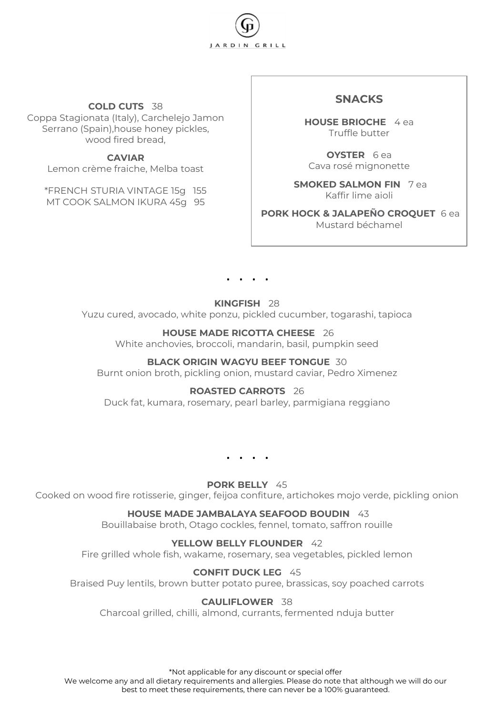

**COLD CUTS** 38

Coppa Stagionata (Italy), Carchelejo Jamon Serrano (Spain),house honey pickles, wood fired bread,

**CAVIAR** 

Lemon crème fraiche, Melba toast

\*FRENCH STURIA VINTAGE 15g 155 MT COOK SALMON IKURA 45g 95

# **SNACKS**

**HOUSE BRIOCHE** 4 ea Truffle butter

**OYSTER** 6 ea Cava rosé mignonette

**SMOKED SALMON FIN** 7 ea Kaffir lime aioli

**PORK HOCK & JALAPEÑO CROQUET** 6 ea Mustard béchamel

. . . .

**KINGFISH** 28

Yuzu cured, avocado, white ponzu, pickled cucumber, togarashi, tapioca

**HOUSE MADE RICOTTA CHEESE** 26

White anchovies, broccoli, mandarin, basil, pumpkin seed

### **BLACK ORIGIN WAGYU BEEF TONGUE** 30

Burnt onion broth, pickling onion, mustard caviar, Pedro Ximenez

### **ROASTED CARROTS** 26

Duck fat, kumara, rosemary, pearl barley, parmigiana reggiano

. . . .

**PORK BELLY** 45

Cooked on wood fire rotisserie, ginger, feijoa confiture, artichokes mojo verde, pickling onion

## **HOUSE MADE JAMBALAYA SEAFOOD BOUDIN** 43

Bouillabaise broth, Otago cockles, fennel, tomato, saffron rouille

### YELLOW BELLY FLOUNDER 42

Fire grilled whole fish, wakame, rosemary, sea vegetables, pickled lemon

### **CONFIT DUCK LEG** 45

Braised Puy lentils, brown butter potato puree, brassicas, soy poached carrots

### **CAULIFLOWER** 38

Charcoal grilled, chilli, almond, currants, fermented nduja butter